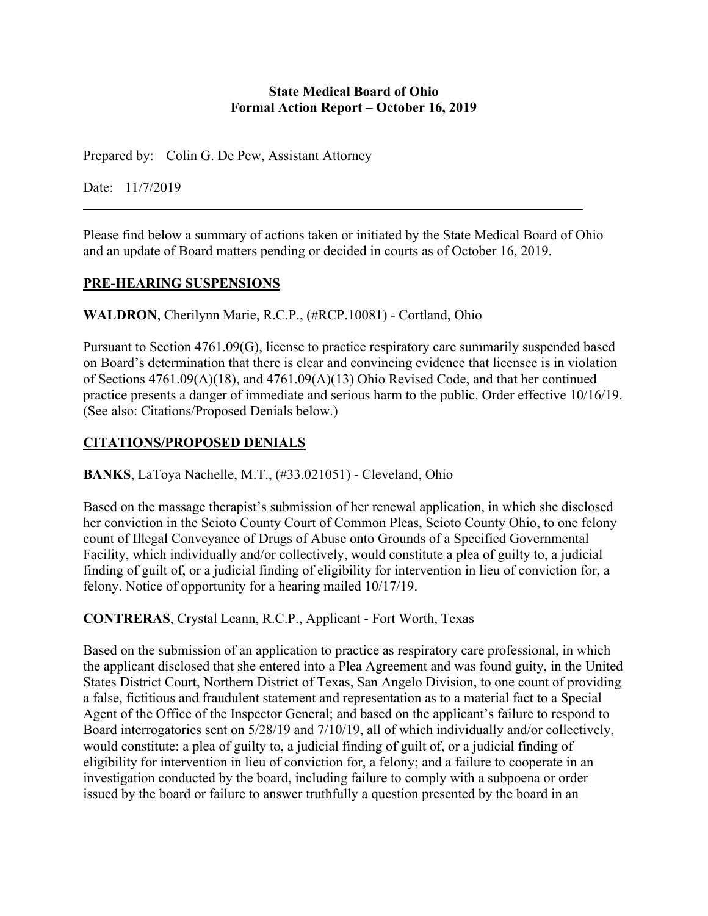#### **State Medical Board of Ohio Formal Action Report – October 16, 2019**

Prepared by: Colin G. De Pew, Assistant Attorney

Date: 11/7/2019

Please find below a summary of actions taken or initiated by the State Medical Board of Ohio and an update of Board matters pending or decided in courts as of October 16, 2019.

# **PRE-HEARING SUSPENSIONS**

**WALDRON**, Cherilynn Marie, R.C.P., (#RCP.10081) - Cortland, Ohio

Pursuant to Section 4761.09(G), license to practice respiratory care summarily suspended based on Board's determination that there is clear and convincing evidence that licensee is in violation of Sections 4761.09(A)(18), and 4761.09(A)(13) Ohio Revised Code, and that her continued practice presents a danger of immediate and serious harm to the public. Order effective 10/16/19. (See also: Citations/Proposed Denials below.)

# **CITATIONS/PROPOSED DENIALS**

**BANKS**, LaToya Nachelle, M.T., (#33.021051) - Cleveland, Ohio

Based on the massage therapist's submission of her renewal application, in which she disclosed her conviction in the Scioto County Court of Common Pleas, Scioto County Ohio, to one felony count of Illegal Conveyance of Drugs of Abuse onto Grounds of a Specified Governmental Facility, which individually and/or collectively, would constitute a plea of guilty to, a judicial finding of guilt of, or a judicial finding of eligibility for intervention in lieu of conviction for, a felony. Notice of opportunity for a hearing mailed 10/17/19.

**CONTRERAS**, Crystal Leann, R.C.P., Applicant - Fort Worth, Texas

Based on the submission of an application to practice as respiratory care professional, in which the applicant disclosed that she entered into a Plea Agreement and was found guity, in the United States District Court, Northern District of Texas, San Angelo Division, to one count of providing a false, fictitious and fraudulent statement and representation as to a material fact to a Special Agent of the Office of the Inspector General; and based on the applicant's failure to respond to Board interrogatories sent on 5/28/19 and 7/10/19, all of which individually and/or collectively, would constitute: a plea of guilty to, a judicial finding of guilt of, or a judicial finding of eligibility for intervention in lieu of conviction for, a felony; and a failure to cooperate in an investigation conducted by the board, including failure to comply with a subpoena or order issued by the board or failure to answer truthfully a question presented by the board in an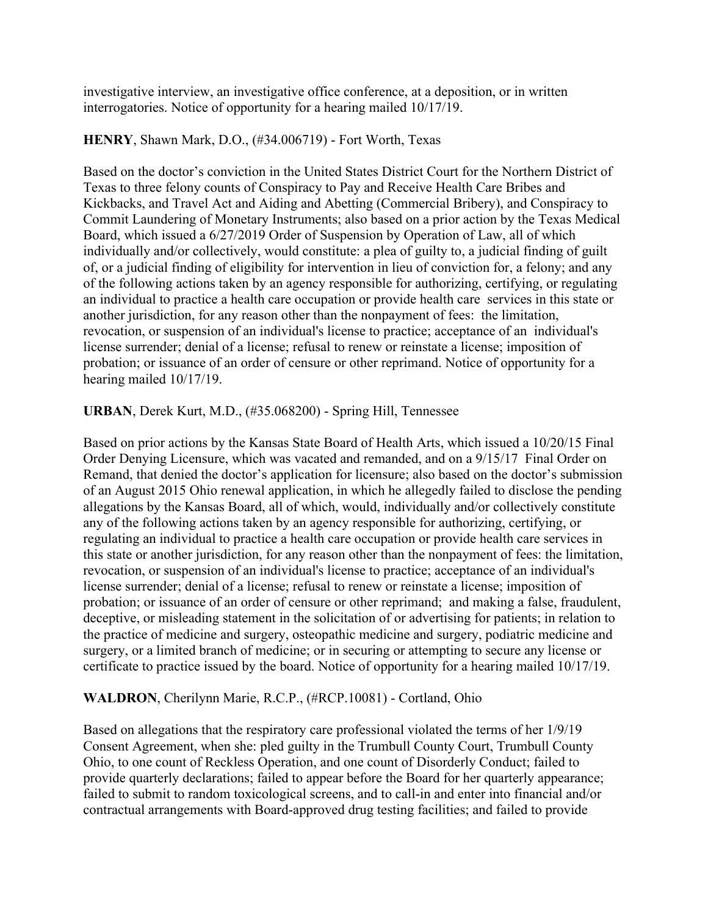investigative interview, an investigative office conference, at a deposition, or in written interrogatories. Notice of opportunity for a hearing mailed 10/17/19.

### **HENRY**, Shawn Mark, D.O., (#34.006719) - Fort Worth, Texas

Based on the doctor's conviction in the United States District Court for the Northern District of Texas to three felony counts of Conspiracy to Pay and Receive Health Care Bribes and Kickbacks, and Travel Act and Aiding and Abetting (Commercial Bribery), and Conspiracy to Commit Laundering of Monetary Instruments; also based on a prior action by the Texas Medical Board, which issued a 6/27/2019 Order of Suspension by Operation of Law, all of which individually and/or collectively, would constitute: a plea of guilty to, a judicial finding of guilt of, or a judicial finding of eligibility for intervention in lieu of conviction for, a felony; and any of the following actions taken by an agency responsible for authorizing, certifying, or regulating an individual to practice a health care occupation or provide health care services in this state or another jurisdiction, for any reason other than the nonpayment of fees: the limitation, revocation, or suspension of an individual's license to practice; acceptance of an individual's license surrender; denial of a license; refusal to renew or reinstate a license; imposition of probation; or issuance of an order of censure or other reprimand. Notice of opportunity for a hearing mailed 10/17/19.

#### **URBAN**, Derek Kurt, M.D., (#35.068200) - Spring Hill, Tennessee

Based on prior actions by the Kansas State Board of Health Arts, which issued a 10/20/15 Final Order Denying Licensure, which was vacated and remanded, and on a 9/15/17 Final Order on Remand, that denied the doctor's application for licensure; also based on the doctor's submission of an August 2015 Ohio renewal application, in which he allegedly failed to disclose the pending allegations by the Kansas Board, all of which, would, individually and/or collectively constitute any of the following actions taken by an agency responsible for authorizing, certifying, or regulating an individual to practice a health care occupation or provide health care services in this state or another jurisdiction, for any reason other than the nonpayment of fees: the limitation, revocation, or suspension of an individual's license to practice; acceptance of an individual's license surrender; denial of a license; refusal to renew or reinstate a license; imposition of probation; or issuance of an order of censure or other reprimand; and making a false, fraudulent, deceptive, or misleading statement in the solicitation of or advertising for patients; in relation to the practice of medicine and surgery, osteopathic medicine and surgery, podiatric medicine and surgery, or a limited branch of medicine; or in securing or attempting to secure any license or certificate to practice issued by the board. Notice of opportunity for a hearing mailed 10/17/19.

# **WALDRON**, Cherilynn Marie, R.C.P., (#RCP.10081) - Cortland, Ohio

Based on allegations that the respiratory care professional violated the terms of her 1/9/19 Consent Agreement, when she: pled guilty in the Trumbull County Court, Trumbull County Ohio, to one count of Reckless Operation, and one count of Disorderly Conduct; failed to provide quarterly declarations; failed to appear before the Board for her quarterly appearance; failed to submit to random toxicological screens, and to call-in and enter into financial and/or contractual arrangements with Board-approved drug testing facilities; and failed to provide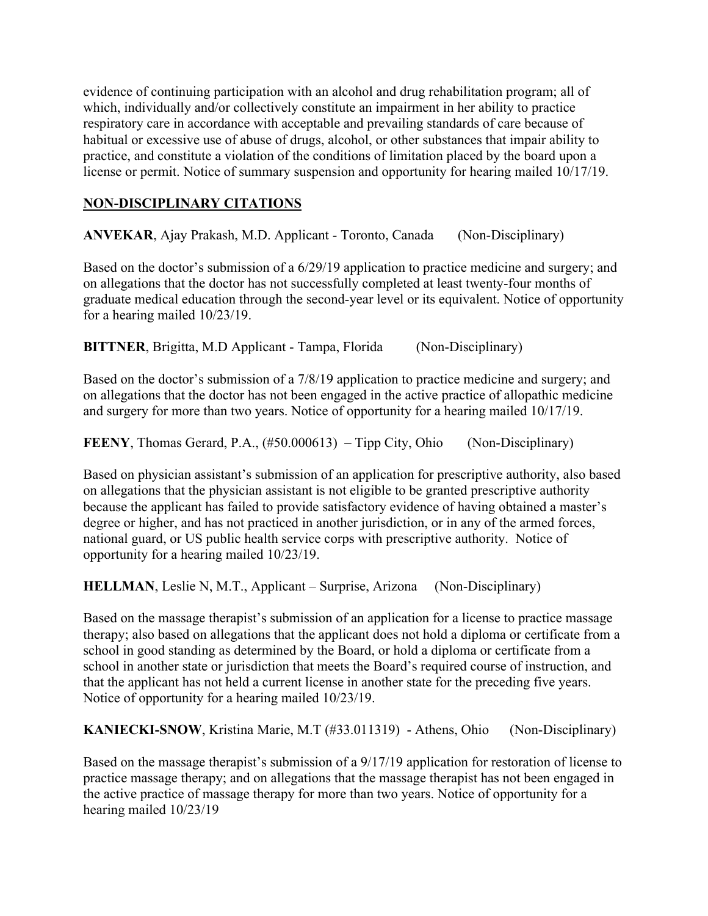evidence of continuing participation with an alcohol and drug rehabilitation program; all of which, individually and/or collectively constitute an impairment in her ability to practice respiratory care in accordance with acceptable and prevailing standards of care because of habitual or excessive use of abuse of drugs, alcohol, or other substances that impair ability to practice, and constitute a violation of the conditions of limitation placed by the board upon a license or permit. Notice of summary suspension and opportunity for hearing mailed 10/17/19.

# **NON-DISCIPLINARY CITATIONS**

**ANVEKAR**, Ajay Prakash, M.D. Applicant - Toronto, Canada (Non-Disciplinary)

Based on the doctor's submission of a 6/29/19 application to practice medicine and surgery; and on allegations that the doctor has not successfully completed at least twenty-four months of graduate medical education through the second-year level or its equivalent. Notice of opportunity for a hearing mailed 10/23/19.

**BITTNER**, Brigitta, M.D Applicant - Tampa, Florida (Non-Disciplinary)

Based on the doctor's submission of a 7/8/19 application to practice medicine and surgery; and on allegations that the doctor has not been engaged in the active practice of allopathic medicine and surgery for more than two years. Notice of opportunity for a hearing mailed 10/17/19.

**FEENY**, Thomas Gerard, P.A., (#50.000613) – Tipp City, Ohio (Non-Disciplinary)

Based on physician assistant's submission of an application for prescriptive authority, also based on allegations that the physician assistant is not eligible to be granted prescriptive authority because the applicant has failed to provide satisfactory evidence of having obtained a master's degree or higher, and has not practiced in another jurisdiction, or in any of the armed forces, national guard, or US public health service corps with prescriptive authority. Notice of opportunity for a hearing mailed 10/23/19.

**HELLMAN**, Leslie N, M.T., Applicant – Surprise, Arizona (Non-Disciplinary)

Based on the massage therapist's submission of an application for a license to practice massage therapy; also based on allegations that the applicant does not hold a diploma or certificate from a school in good standing as determined by the Board, or hold a diploma or certificate from a school in another state or jurisdiction that meets the Board's required course of instruction, and that the applicant has not held a current license in another state for the preceding five years. Notice of opportunity for a hearing mailed 10/23/19.

**KANIECKI-SNOW**, Kristina Marie, M.T (#33.011319) - Athens, Ohio (Non-Disciplinary)

Based on the massage therapist's submission of a 9/17/19 application for restoration of license to practice massage therapy; and on allegations that the massage therapist has not been engaged in the active practice of massage therapy for more than two years. Notice of opportunity for a hearing mailed 10/23/19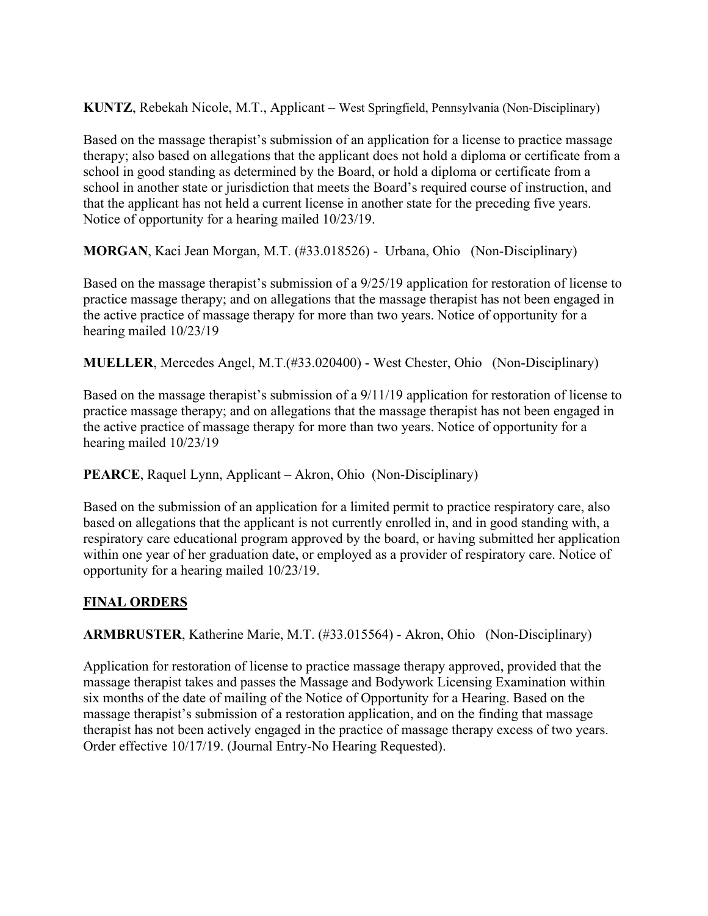**KUNTZ**, Rebekah Nicole, M.T., Applicant – West Springfield, Pennsylvania (Non-Disciplinary)

Based on the massage therapist's submission of an application for a license to practice massage therapy; also based on allegations that the applicant does not hold a diploma or certificate from a school in good standing as determined by the Board, or hold a diploma or certificate from a school in another state or jurisdiction that meets the Board's required course of instruction, and that the applicant has not held a current license in another state for the preceding five years. Notice of opportunity for a hearing mailed 10/23/19.

**MORGAN**, Kaci Jean Morgan, M.T. (#33.018526) - Urbana, Ohio (Non-Disciplinary)

Based on the massage therapist's submission of a 9/25/19 application for restoration of license to practice massage therapy; and on allegations that the massage therapist has not been engaged in the active practice of massage therapy for more than two years. Notice of opportunity for a hearing mailed 10/23/19

**MUELLER**, Mercedes Angel, M.T.(#33.020400) - West Chester, Ohio (Non-Disciplinary)

Based on the massage therapist's submission of a 9/11/19 application for restoration of license to practice massage therapy; and on allegations that the massage therapist has not been engaged in the active practice of massage therapy for more than two years. Notice of opportunity for a hearing mailed 10/23/19

**PEARCE**, Raquel Lynn, Applicant – Akron, Ohio (Non-Disciplinary)

Based on the submission of an application for a limited permit to practice respiratory care, also based on allegations that the applicant is not currently enrolled in, and in good standing with, a respiratory care educational program approved by the board, or having submitted her application within one year of her graduation date, or employed as a provider of respiratory care. Notice of opportunity for a hearing mailed 10/23/19.

# **FINAL ORDERS**

**ARMBRUSTER**, Katherine Marie, M.T. (#33.015564) - Akron, Ohio (Non-Disciplinary)

Application for restoration of license to practice massage therapy approved, provided that the massage therapist takes and passes the Massage and Bodywork Licensing Examination within six months of the date of mailing of the Notice of Opportunity for a Hearing. Based on the massage therapist's submission of a restoration application, and on the finding that massage therapist has not been actively engaged in the practice of massage therapy excess of two years. Order effective 10/17/19. (Journal Entry-No Hearing Requested).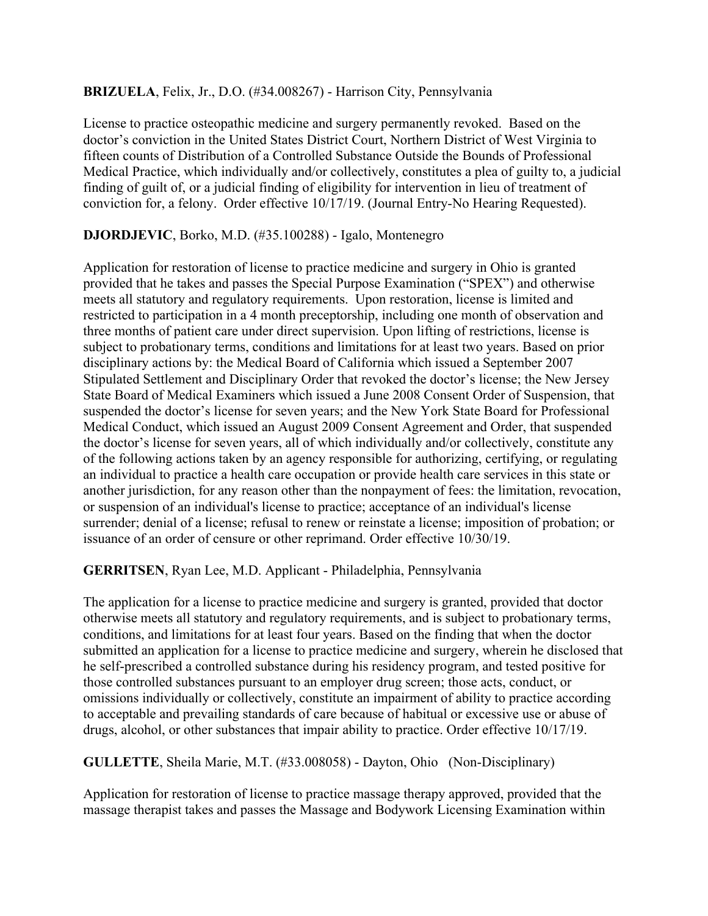### **BRIZUELA**, Felix, Jr., D.O. (#34.008267) - Harrison City, Pennsylvania

License to practice osteopathic medicine and surgery permanently revoked. Based on the doctor's conviction in the United States District Court, Northern District of West Virginia to fifteen counts of Distribution of a Controlled Substance Outside the Bounds of Professional Medical Practice, which individually and/or collectively, constitutes a plea of guilty to, a judicial finding of guilt of, or a judicial finding of eligibility for intervention in lieu of treatment of conviction for, a felony. Order effective 10/17/19. (Journal Entry-No Hearing Requested).

# **DJORDJEVIC**, Borko, M.D. (#35.100288) - Igalo, Montenegro

Application for restoration of license to practice medicine and surgery in Ohio is granted provided that he takes and passes the Special Purpose Examination ("SPEX") and otherwise meets all statutory and regulatory requirements. Upon restoration, license is limited and restricted to participation in a 4 month preceptorship, including one month of observation and three months of patient care under direct supervision. Upon lifting of restrictions, license is subject to probationary terms, conditions and limitations for at least two years. Based on prior disciplinary actions by: the Medical Board of California which issued a September 2007 Stipulated Settlement and Disciplinary Order that revoked the doctor's license; the New Jersey State Board of Medical Examiners which issued a June 2008 Consent Order of Suspension, that suspended the doctor's license for seven years; and the New York State Board for Professional Medical Conduct, which issued an August 2009 Consent Agreement and Order, that suspended the doctor's license for seven years, all of which individually and/or collectively, constitute any of the following actions taken by an agency responsible for authorizing, certifying, or regulating an individual to practice a health care occupation or provide health care services in this state or another jurisdiction, for any reason other than the nonpayment of fees: the limitation, revocation, or suspension of an individual's license to practice; acceptance of an individual's license surrender; denial of a license; refusal to renew or reinstate a license; imposition of probation; or issuance of an order of censure or other reprimand. Order effective 10/30/19.

#### **GERRITSEN**, Ryan Lee, M.D. Applicant - Philadelphia, Pennsylvania

The application for a license to practice medicine and surgery is granted, provided that doctor otherwise meets all statutory and regulatory requirements, and is subject to probationary terms, conditions, and limitations for at least four years. Based on the finding that when the doctor submitted an application for a license to practice medicine and surgery, wherein he disclosed that he self-prescribed a controlled substance during his residency program, and tested positive for those controlled substances pursuant to an employer drug screen; those acts, conduct, or omissions individually or collectively, constitute an impairment of ability to practice according to acceptable and prevailing standards of care because of habitual or excessive use or abuse of drugs, alcohol, or other substances that impair ability to practice. Order effective 10/17/19.

**GULLETTE**, Sheila Marie, M.T. (#33.008058) - Dayton, Ohio (Non-Disciplinary)

Application for restoration of license to practice massage therapy approved, provided that the massage therapist takes and passes the Massage and Bodywork Licensing Examination within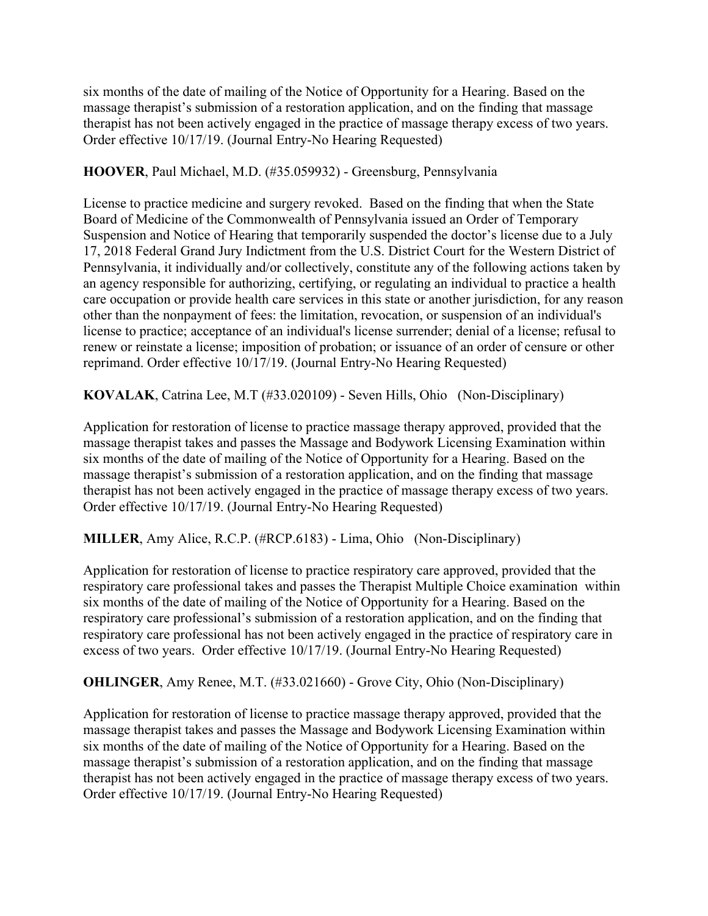six months of the date of mailing of the Notice of Opportunity for a Hearing. Based on the massage therapist's submission of a restoration application, and on the finding that massage therapist has not been actively engaged in the practice of massage therapy excess of two years. Order effective 10/17/19. (Journal Entry-No Hearing Requested)

**HOOVER**, Paul Michael, M.D. (#35.059932) - Greensburg, Pennsylvania

License to practice medicine and surgery revoked. Based on the finding that when the State Board of Medicine of the Commonwealth of Pennsylvania issued an Order of Temporary Suspension and Notice of Hearing that temporarily suspended the doctor's license due to a July 17, 2018 Federal Grand Jury Indictment from the U.S. District Court for the Western District of Pennsylvania, it individually and/or collectively, constitute any of the following actions taken by an agency responsible for authorizing, certifying, or regulating an individual to practice a health care occupation or provide health care services in this state or another jurisdiction, for any reason other than the nonpayment of fees: the limitation, revocation, or suspension of an individual's license to practice; acceptance of an individual's license surrender; denial of a license; refusal to renew or reinstate a license; imposition of probation; or issuance of an order of censure or other reprimand. Order effective 10/17/19. (Journal Entry-No Hearing Requested)

**KOVALAK**, Catrina Lee, M.T (#33.020109) - Seven Hills, Ohio (Non-Disciplinary)

Application for restoration of license to practice massage therapy approved, provided that the massage therapist takes and passes the Massage and Bodywork Licensing Examination within six months of the date of mailing of the Notice of Opportunity for a Hearing. Based on the massage therapist's submission of a restoration application, and on the finding that massage therapist has not been actively engaged in the practice of massage therapy excess of two years. Order effective 10/17/19. (Journal Entry-No Hearing Requested)

**MILLER**, Amy Alice, R.C.P. (#RCP.6183) - Lima, Ohio (Non-Disciplinary)

Application for restoration of license to practice respiratory care approved, provided that the respiratory care professional takes and passes the Therapist Multiple Choice examination within six months of the date of mailing of the Notice of Opportunity for a Hearing. Based on the respiratory care professional's submission of a restoration application, and on the finding that respiratory care professional has not been actively engaged in the practice of respiratory care in excess of two years. Order effective 10/17/19. (Journal Entry-No Hearing Requested)

**OHLINGER**, Amy Renee, M.T. (#33.021660) - Grove City, Ohio (Non-Disciplinary)

Application for restoration of license to practice massage therapy approved, provided that the massage therapist takes and passes the Massage and Bodywork Licensing Examination within six months of the date of mailing of the Notice of Opportunity for a Hearing. Based on the massage therapist's submission of a restoration application, and on the finding that massage therapist has not been actively engaged in the practice of massage therapy excess of two years. Order effective 10/17/19. (Journal Entry-No Hearing Requested)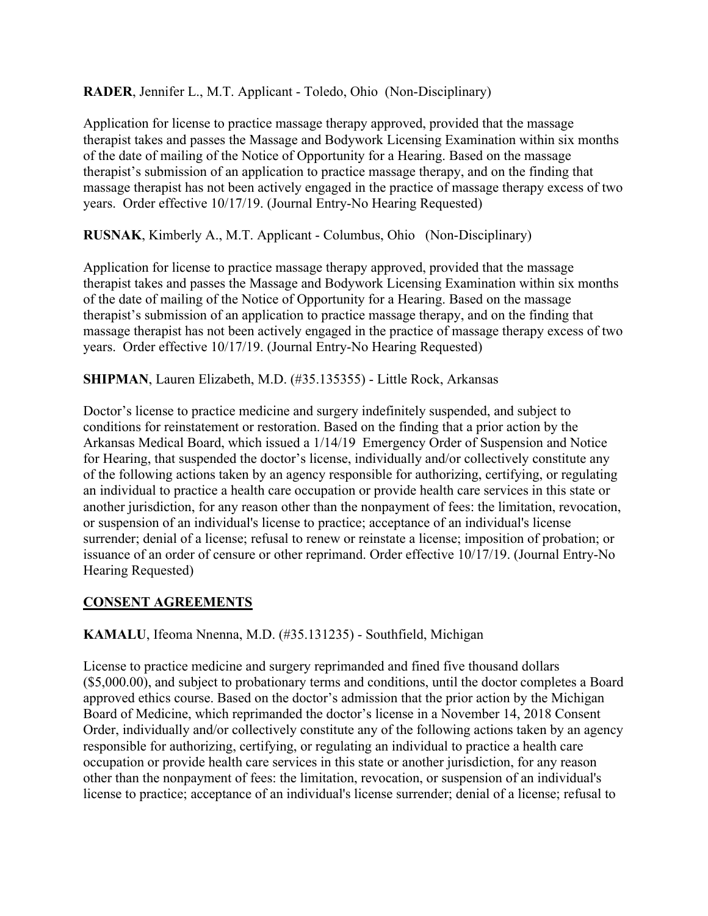**RADER**, Jennifer L., M.T. Applicant - Toledo, Ohio (Non-Disciplinary)

Application for license to practice massage therapy approved, provided that the massage therapist takes and passes the Massage and Bodywork Licensing Examination within six months of the date of mailing of the Notice of Opportunity for a Hearing. Based on the massage therapist's submission of an application to practice massage therapy, and on the finding that massage therapist has not been actively engaged in the practice of massage therapy excess of two years. Order effective 10/17/19. (Journal Entry-No Hearing Requested)

**RUSNAK**, Kimberly A., M.T. Applicant - Columbus, Ohio (Non-Disciplinary)

Application for license to practice massage therapy approved, provided that the massage therapist takes and passes the Massage and Bodywork Licensing Examination within six months of the date of mailing of the Notice of Opportunity for a Hearing. Based on the massage therapist's submission of an application to practice massage therapy, and on the finding that massage therapist has not been actively engaged in the practice of massage therapy excess of two years. Order effective 10/17/19. (Journal Entry-No Hearing Requested)

**SHIPMAN**, Lauren Elizabeth, M.D. (#35.135355) - Little Rock, Arkansas

Doctor's license to practice medicine and surgery indefinitely suspended, and subject to conditions for reinstatement or restoration. Based on the finding that a prior action by the Arkansas Medical Board, which issued a 1/14/19 Emergency Order of Suspension and Notice for Hearing, that suspended the doctor's license, individually and/or collectively constitute any of the following actions taken by an agency responsible for authorizing, certifying, or regulating an individual to practice a health care occupation or provide health care services in this state or another jurisdiction, for any reason other than the nonpayment of fees: the limitation, revocation, or suspension of an individual's license to practice; acceptance of an individual's license surrender; denial of a license; refusal to renew or reinstate a license; imposition of probation; or issuance of an order of censure or other reprimand. Order effective 10/17/19. (Journal Entry-No Hearing Requested)

# **CONSENT AGREEMENTS**

**KAMALU**, Ifeoma Nnenna, M.D. (#35.131235) - Southfield, Michigan

License to practice medicine and surgery reprimanded and fined five thousand dollars (\$5,000.00), and subject to probationary terms and conditions, until the doctor completes a Board approved ethics course. Based on the doctor's admission that the prior action by the Michigan Board of Medicine, which reprimanded the doctor's license in a November 14, 2018 Consent Order, individually and/or collectively constitute any of the following actions taken by an agency responsible for authorizing, certifying, or regulating an individual to practice a health care occupation or provide health care services in this state or another jurisdiction, for any reason other than the nonpayment of fees: the limitation, revocation, or suspension of an individual's license to practice; acceptance of an individual's license surrender; denial of a license; refusal to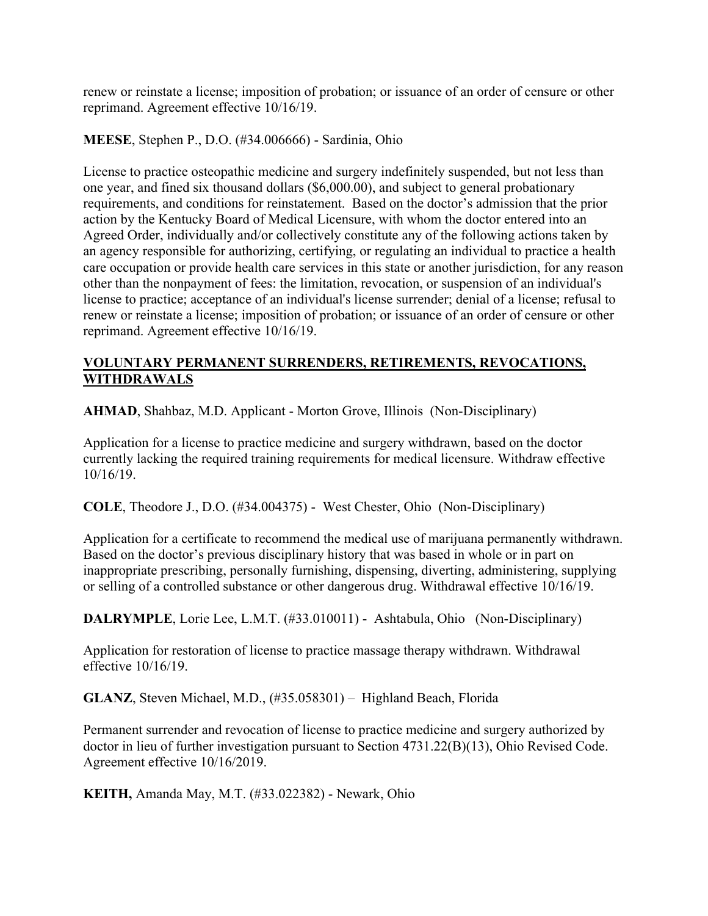renew or reinstate a license; imposition of probation; or issuance of an order of censure or other reprimand. Agreement effective 10/16/19.

**MEESE**, Stephen P., D.O. (#34.006666) - Sardinia, Ohio

License to practice osteopathic medicine and surgery indefinitely suspended, but not less than one year, and fined six thousand dollars (\$6,000.00), and subject to general probationary requirements, and conditions for reinstatement. Based on the doctor's admission that the prior action by the Kentucky Board of Medical Licensure, with whom the doctor entered into an Agreed Order, individually and/or collectively constitute any of the following actions taken by an agency responsible for authorizing, certifying, or regulating an individual to practice a health care occupation or provide health care services in this state or another jurisdiction, for any reason other than the nonpayment of fees: the limitation, revocation, or suspension of an individual's license to practice; acceptance of an individual's license surrender; denial of a license; refusal to renew or reinstate a license; imposition of probation; or issuance of an order of censure or other reprimand. Agreement effective 10/16/19.

# **VOLUNTARY PERMANENT SURRENDERS, RETIREMENTS, REVOCATIONS, WITHDRAWALS**

**AHMAD**, Shahbaz, M.D. Applicant - Morton Grove, Illinois (Non-Disciplinary)

Application for a license to practice medicine and surgery withdrawn, based on the doctor currently lacking the required training requirements for medical licensure. Withdraw effective 10/16/19.

**COLE**, Theodore J., D.O. (#34.004375) - West Chester, Ohio (Non-Disciplinary)

Application for a certificate to recommend the medical use of marijuana permanently withdrawn. Based on the doctor's previous disciplinary history that was based in whole or in part on inappropriate prescribing, personally furnishing, dispensing, diverting, administering, supplying or selling of a controlled substance or other dangerous drug. Withdrawal effective 10/16/19.

**DALRYMPLE**, Lorie Lee, L.M.T. (#33.010011) - Ashtabula, Ohio (Non-Disciplinary)

Application for restoration of license to practice massage therapy withdrawn. Withdrawal effective 10/16/19.

**GLANZ**, Steven Michael, M.D., (#35.058301) – Highland Beach, Florida

Permanent surrender and revocation of license to practice medicine and surgery authorized by doctor in lieu of further investigation pursuant to Section 4731.22(B)(13), Ohio Revised Code. Agreement effective 10/16/2019.

**KEITH,** Amanda May, M.T. (#33.022382) - Newark, Ohio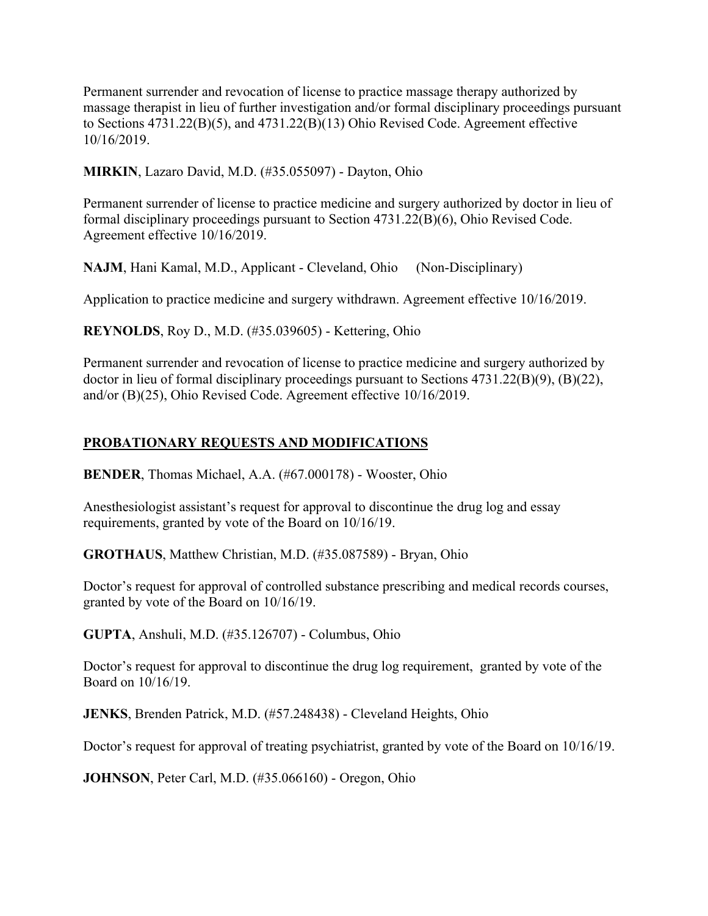Permanent surrender and revocation of license to practice massage therapy authorized by massage therapist in lieu of further investigation and/or formal disciplinary proceedings pursuant to Sections 4731.22(B)(5), and 4731.22(B)(13) Ohio Revised Code. Agreement effective 10/16/2019.

**MIRKIN**, Lazaro David, M.D. (#35.055097) - Dayton, Ohio

Permanent surrender of license to practice medicine and surgery authorized by doctor in lieu of formal disciplinary proceedings pursuant to Section 4731.22(B)(6), Ohio Revised Code. Agreement effective 10/16/2019.

**NAJM**, Hani Kamal, M.D., Applicant - Cleveland, Ohio (Non-Disciplinary)

Application to practice medicine and surgery withdrawn. Agreement effective 10/16/2019.

**REYNOLDS**, Roy D., M.D. (#35.039605) - Kettering, Ohio

Permanent surrender and revocation of license to practice medicine and surgery authorized by doctor in lieu of formal disciplinary proceedings pursuant to Sections 4731.22(B)(9), (B)(22), and/or (B)(25), Ohio Revised Code. Agreement effective 10/16/2019.

#### **PROBATIONARY REQUESTS AND MODIFICATIONS**

**BENDER**, Thomas Michael, A.A. (#67.000178) - Wooster, Ohio

Anesthesiologist assistant's request for approval to discontinue the drug log and essay requirements, granted by vote of the Board on 10/16/19.

**GROTHAUS**, Matthew Christian, M.D. (#35.087589) - Bryan, Ohio

Doctor's request for approval of controlled substance prescribing and medical records courses, granted by vote of the Board on 10/16/19.

**GUPTA**, Anshuli, M.D. (#35.126707) - Columbus, Ohio

Doctor's request for approval to discontinue the drug log requirement, granted by vote of the Board on 10/16/19.

**JENKS**, Brenden Patrick, M.D. (#57.248438) - Cleveland Heights, Ohio

Doctor's request for approval of treating psychiatrist, granted by vote of the Board on 10/16/19.

**JOHNSON**, Peter Carl, M.D. (#35.066160) - Oregon, Ohio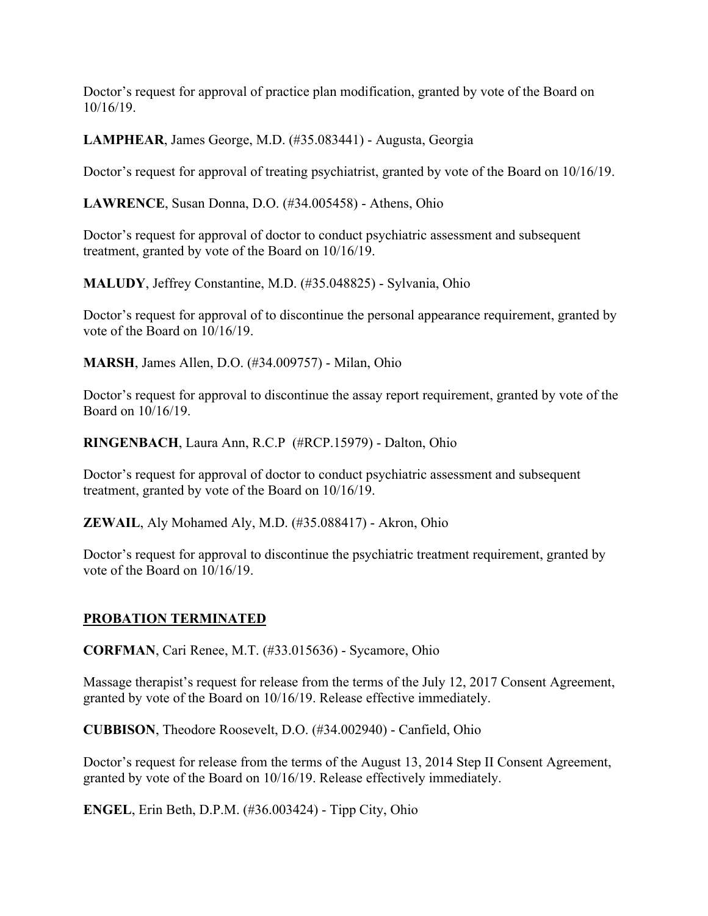Doctor's request for approval of practice plan modification, granted by vote of the Board on 10/16/19.

**LAMPHEAR**, James George, M.D. (#35.083441) - Augusta, Georgia

Doctor's request for approval of treating psychiatrist, granted by vote of the Board on 10/16/19.

**LAWRENCE**, Susan Donna, D.O. (#34.005458) - Athens, Ohio

Doctor's request for approval of doctor to conduct psychiatric assessment and subsequent treatment, granted by vote of the Board on 10/16/19.

**MALUDY**, Jeffrey Constantine, M.D. (#35.048825) - Sylvania, Ohio

Doctor's request for approval of to discontinue the personal appearance requirement, granted by vote of the Board on 10/16/19.

**MARSH**, James Allen, D.O. (#34.009757) - Milan, Ohio

Doctor's request for approval to discontinue the assay report requirement, granted by vote of the Board on 10/16/19.

**RINGENBACH**, Laura Ann, R.C.P (#RCP.15979) - Dalton, Ohio

Doctor's request for approval of doctor to conduct psychiatric assessment and subsequent treatment, granted by vote of the Board on 10/16/19.

**ZEWAIL**, Aly Mohamed Aly, M.D. (#35.088417) - Akron, Ohio

Doctor's request for approval to discontinue the psychiatric treatment requirement, granted by vote of the Board on 10/16/19.

# **PROBATION TERMINATED**

**CORFMAN**, Cari Renee, M.T. (#33.015636) - Sycamore, Ohio

Massage therapist's request for release from the terms of the July 12, 2017 Consent Agreement, granted by vote of the Board on 10/16/19. Release effective immediately.

**CUBBISON**, Theodore Roosevelt, D.O. (#34.002940) - Canfield, Ohio

Doctor's request for release from the terms of the August 13, 2014 Step II Consent Agreement, granted by vote of the Board on 10/16/19. Release effectively immediately.

**ENGEL**, Erin Beth, D.P.M. (#36.003424) - Tipp City, Ohio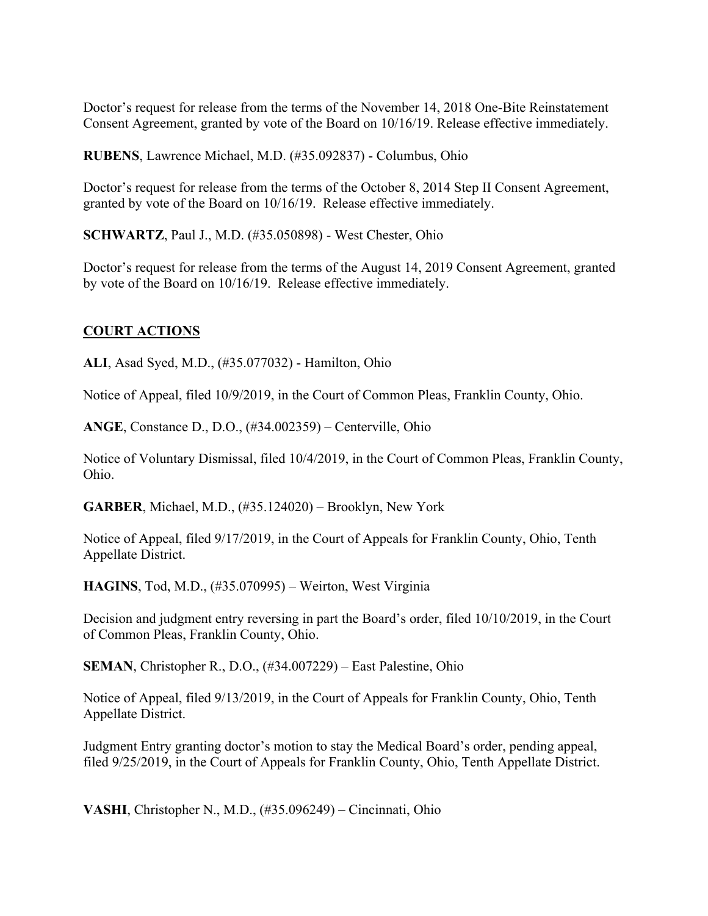Doctor's request for release from the terms of the November 14, 2018 One-Bite Reinstatement Consent Agreement, granted by vote of the Board on 10/16/19. Release effective immediately.

**RUBENS**, Lawrence Michael, M.D. (#35.092837) - Columbus, Ohio

Doctor's request for release from the terms of the October 8, 2014 Step II Consent Agreement, granted by vote of the Board on 10/16/19. Release effective immediately.

**SCHWARTZ**, Paul J., M.D. (#35.050898) - West Chester, Ohio

Doctor's request for release from the terms of the August 14, 2019 Consent Agreement, granted by vote of the Board on 10/16/19. Release effective immediately.

# **COURT ACTIONS**

**ALI**, Asad Syed, M.D., (#35.077032) - Hamilton, Ohio

Notice of Appeal, filed 10/9/2019, in the Court of Common Pleas, Franklin County, Ohio.

**ANGE**, Constance D., D.O., (#34.002359) – Centerville, Ohio

Notice of Voluntary Dismissal, filed 10/4/2019, in the Court of Common Pleas, Franklin County, Ohio.

**GARBER**, Michael, M.D., (#35.124020) – Brooklyn, New York

Notice of Appeal, filed 9/17/2019, in the Court of Appeals for Franklin County, Ohio, Tenth Appellate District.

**HAGINS**, Tod, M.D., (#35.070995) – Weirton, West Virginia

Decision and judgment entry reversing in part the Board's order, filed 10/10/2019, in the Court of Common Pleas, Franklin County, Ohio.

**SEMAN**, Christopher R., D.O., (#34.007229) – East Palestine, Ohio

Notice of Appeal, filed 9/13/2019, in the Court of Appeals for Franklin County, Ohio, Tenth Appellate District.

Judgment Entry granting doctor's motion to stay the Medical Board's order, pending appeal, filed 9/25/2019, in the Court of Appeals for Franklin County, Ohio, Tenth Appellate District.

**VASHI**, Christopher N., M.D., (#35.096249) – Cincinnati, Ohio